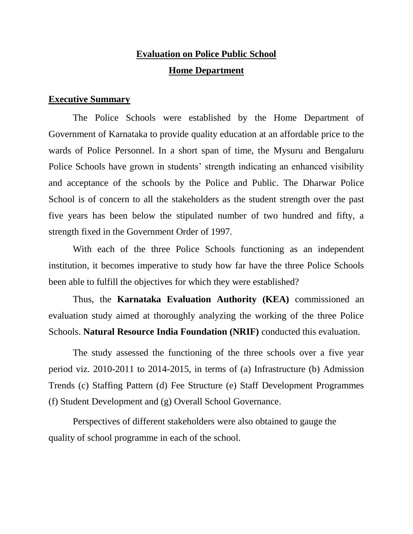## **Evaluation on Police Public School Home Department**

### **Executive Summary**

The Police Schools were established by the Home Department of Government of Karnataka to provide quality education at an affordable price to the wards of Police Personnel. In a short span of time, the Mysuru and Bengaluru Police Schools have grown in students' strength indicating an enhanced visibility and acceptance of the schools by the Police and Public. The Dharwar Police School is of concern to all the stakeholders as the student strength over the past five years has been below the stipulated number of two hundred and fifty, a strength fixed in the Government Order of 1997.

With each of the three Police Schools functioning as an independent institution, it becomes imperative to study how far have the three Police Schools been able to fulfill the objectives for which they were established?

Thus, the **Karnataka Evaluation Authority (KEA)** commissioned an evaluation study aimed at thoroughly analyzing the working of the three Police Schools. **Natural Resource India Foundation (NRIF)** conducted this evaluation.

The study assessed the functioning of the three schools over a five year period viz. 2010-2011 to 2014-2015, in terms of (a) Infrastructure (b) Admission Trends (c) Staffing Pattern (d) Fee Structure (e) Staff Development Programmes (f) Student Development and (g) Overall School Governance.

Perspectives of different stakeholders were also obtained to gauge the quality of school programme in each of the school.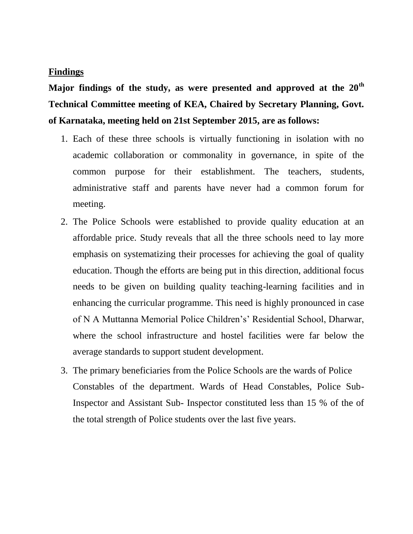#### **Findings**

**Major findings of the study, as were presented and approved at the 20th Technical Committee meeting of KEA, Chaired by Secretary Planning, Govt. of Karnataka, meeting held on 21st September 2015, are as follows:**

- 1. Each of these three schools is virtually functioning in isolation with no academic collaboration or commonality in governance, in spite of the common purpose for their establishment. The teachers, students, administrative staff and parents have never had a common forum for meeting.
- 2. The Police Schools were established to provide quality education at an affordable price. Study reveals that all the three schools need to lay more emphasis on systematizing their processes for achieving the goal of quality education. Though the efforts are being put in this direction, additional focus needs to be given on building quality teaching-learning facilities and in enhancing the curricular programme. This need is highly pronounced in case of N A Muttanna Memorial Police Children's' Residential School, Dharwar, where the school infrastructure and hostel facilities were far below the average standards to support student development.
- 3. The primary beneficiaries from the Police Schools are the wards of Police Constables of the department. Wards of Head Constables, Police Sub-Inspector and Assistant Sub- Inspector constituted less than 15 % of the of the total strength of Police students over the last five years.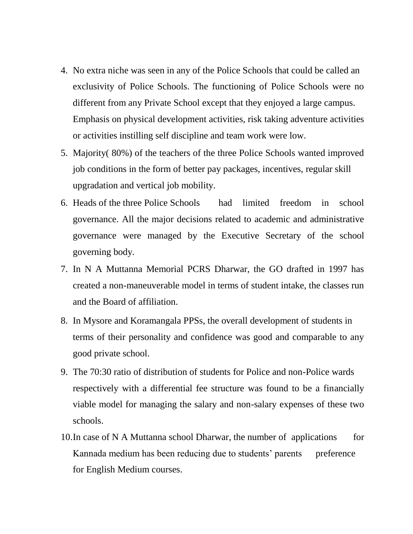- 4. No extra niche was seen in any of the Police Schools that could be called an exclusivity of Police Schools. The functioning of Police Schools were no different from any Private School except that they enjoyed a large campus. Emphasis on physical development activities, risk taking adventure activities or activities instilling self discipline and team work were low.
- 5. Majority( 80%) of the teachers of the three Police Schools wanted improved job conditions in the form of better pay packages, incentives, regular skill upgradation and vertical job mobility.
- 6. Heads of the three Police Schools had limited freedom in school governance. All the major decisions related to academic and administrative governance were managed by the Executive Secretary of the school governing body.
- 7. In N A Muttanna Memorial PCRS Dharwar, the GO drafted in 1997 has created a non-maneuverable model in terms of student intake, the classes run and the Board of affiliation.
- 8. In Mysore and Koramangala PPSs, the overall development of students in terms of their personality and confidence was good and comparable to any good private school.
- 9. The 70:30 ratio of distribution of students for Police and non-Police wards respectively with a differential fee structure was found to be a financially viable model for managing the salary and non-salary expenses of these two schools.
- 10. In case of N A Muttanna school Dharwar, the number of applications for Kannada medium has been reducing due to students' parents preference for English Medium courses.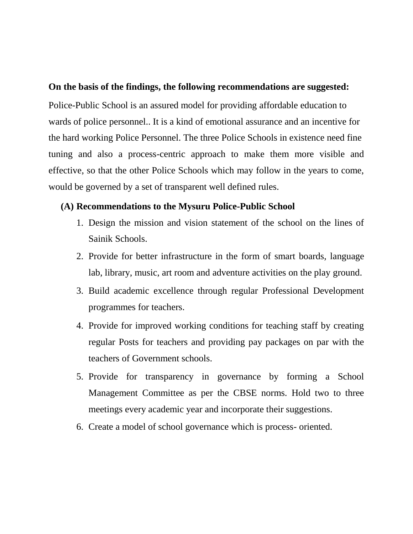#### **On the basis of the findings, the following recommendations are suggested:**

Police-Public School is an assured model for providing affordable education to wards of police personnel.. It is a kind of emotional assurance and an incentive for the hard working Police Personnel. The three Police Schools in existence need fine tuning and also a process-centric approach to make them more visible and effective, so that the other Police Schools which may follow in the years to come, would be governed by a set of transparent well defined rules.

### **(A) Recommendations to the Mysuru Police-Public School**

- 1. Design the mission and vision statement of the school on the lines of Sainik Schools.
- 2. Provide for better infrastructure in the form of smart boards, language lab, library, music, art room and adventure activities on the play ground.
- 3. Build academic excellence through regular Professional Development programmes for teachers.
- 4. Provide for improved working conditions for teaching staff by creating regular Posts for teachers and providing pay packages on par with the teachers of Government schools.
- 5. Provide for transparency in governance by forming a School Management Committee as per the CBSE norms. Hold two to three meetings every academic year and incorporate their suggestions.
- 6. Create a model of school governance which is process- oriented.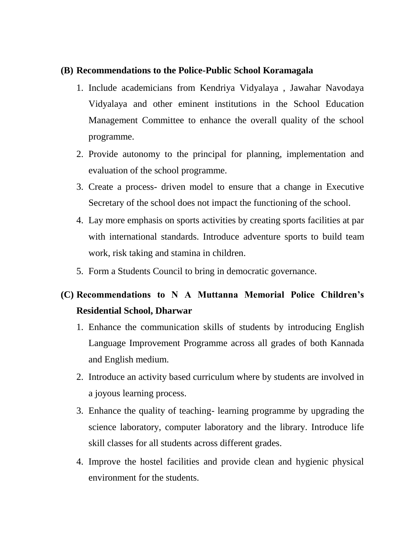### **(B) Recommendations to the Police-Public School Koramagala**

- 1. Include academicians from Kendriya Vidyalaya , Jawahar Navodaya Vidyalaya and other eminent institutions in the School Education Management Committee to enhance the overall quality of the school programme.
- 2. Provide autonomy to the principal for planning, implementation and evaluation of the school programme.
- 3. Create a process- driven model to ensure that a change in Executive Secretary of the school does not impact the functioning of the school.
- 4. Lay more emphasis on sports activities by creating sports facilities at par with international standards. Introduce adventure sports to build team work, risk taking and stamina in children.
- 5. Form a Students Council to bring in democratic governance.

# **(C) Recommendations to N A Muttanna Memorial Police Children's Residential School, Dharwar**

- 1. Enhance the communication skills of students by introducing English Language Improvement Programme across all grades of both Kannada and English medium.
- 2. Introduce an activity based curriculum where by students are involved in a joyous learning process.
- 3. Enhance the quality of teaching- learning programme by upgrading the science laboratory, computer laboratory and the library. Introduce life skill classes for all students across different grades.
- 4. Improve the hostel facilities and provide clean and hygienic physical environment for the students.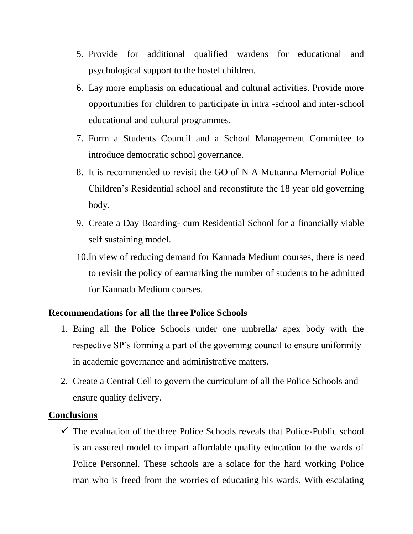- 5. Provide for additional qualified wardens for educational and psychological support to the hostel children.
- 6. Lay more emphasis on educational and cultural activities. Provide more opportunities for children to participate in intra -school and inter-school educational and cultural programmes.
- 7. Form a Students Council and a School Management Committee to introduce democratic school governance.
- 8. It is recommended to revisit the GO of N A Muttanna Memorial Police Children's Residential school and reconstitute the 18 year old governing body.
- 9. Create a Day Boarding- cum Residential School for a financially viable self sustaining model.
- 10.In view of reducing demand for Kannada Medium courses, there is need to revisit the policy of earmarking the number of students to be admitted for Kannada Medium courses.

### **Recommendations for all the three Police Schools**

- 1. Bring all the Police Schools under one umbrella/ apex body with the respective SP's forming a part of the governing council to ensure uniformity in academic governance and administrative matters.
- 2. Create a Central Cell to govern the curriculum of all the Police Schools and ensure quality delivery.

#### **Conclusions**

 $\checkmark$  The evaluation of the three Police Schools reveals that Police-Public school is an assured model to impart affordable quality education to the wards of Police Personnel. These schools are a solace for the hard working Police man who is freed from the worries of educating his wards. With escalating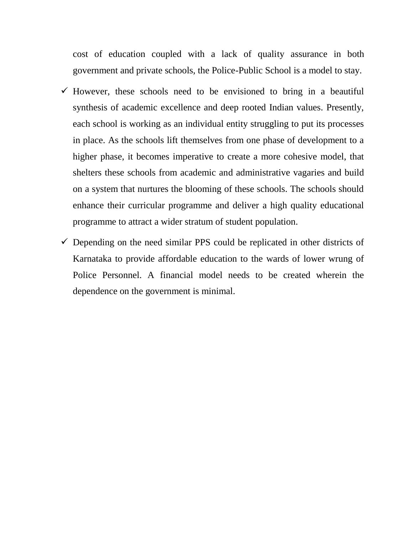cost of education coupled with a lack of quality assurance in both government and private schools, the Police-Public School is a model to stay.

- $\checkmark$  However, these schools need to be envisioned to bring in a beautiful synthesis of academic excellence and deep rooted Indian values. Presently, each school is working as an individual entity struggling to put its processes in place. As the schools lift themselves from one phase of development to a higher phase, it becomes imperative to create a more cohesive model, that shelters these schools from academic and administrative vagaries and build on a system that nurtures the blooming of these schools. The schools should enhance their curricular programme and deliver a high quality educational programme to attract a wider stratum of student population.
- $\checkmark$  Depending on the need similar PPS could be replicated in other districts of Karnataka to provide affordable education to the wards of lower wrung of Police Personnel. A financial model needs to be created wherein the dependence on the government is minimal.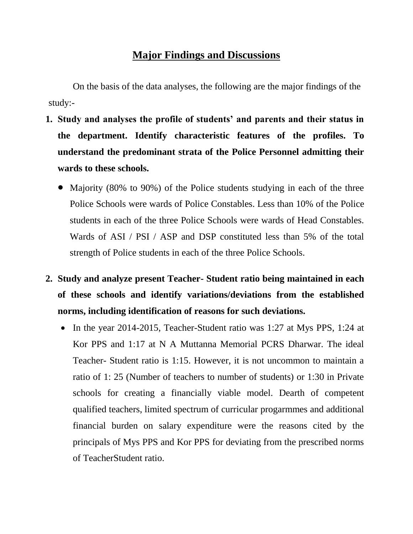## **Major Findings and Discussions**

On the basis of the data analyses, the following are the major findings of the study:-

- **1. Study and analyses the profile of students' and parents and their status in the department. Identify characteristic features of the profiles. To understand the predominant strata of the Police Personnel admitting their wards to these schools.**
	- Majority (80% to 90%) of the Police students studying in each of the three Police Schools were wards of Police Constables. Less than 10% of the Police students in each of the three Police Schools were wards of Head Constables. Wards of ASI / PSI / ASP and DSP constituted less than 5% of the total strength of Police students in each of the three Police Schools.
- **2. Study and analyze present Teacher- Student ratio being maintained in each of these schools and identify variations/deviations from the established norms, including identification of reasons for such deviations.**
	- In the year 2014-2015, Teacher-Student ratio was 1:27 at Mys PPS, 1:24 at Kor PPS and 1:17 at N A Muttanna Memorial PCRS Dharwar. The ideal Teacher- Student ratio is 1:15. However, it is not uncommon to maintain a ratio of 1: 25 (Number of teachers to number of students) or 1:30 in Private schools for creating a financially viable model. Dearth of competent qualified teachers, limited spectrum of curricular progarmmes and additional financial burden on salary expenditure were the reasons cited by the principals of Mys PPS and Kor PPS for deviating from the prescribed norms of TeacherStudent ratio.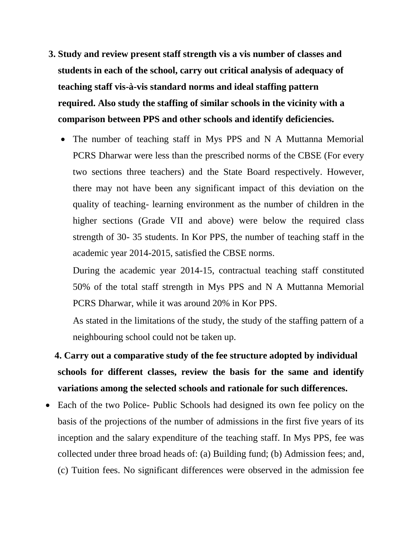- **3. Study and review present staff strength vis a vis number of classes and students in each of the school, carry out critical analysis of adequacy of teaching staff vis-à-vis standard norms and ideal staffing pattern required. Also study the staffing of similar schools in the vicinity with a comparison between PPS and other schools and identify deficiencies.**
	- The number of teaching staff in Mys PPS and N A Muttanna Memorial PCRS Dharwar were less than the prescribed norms of the CBSE (For every two sections three teachers) and the State Board respectively. However, there may not have been any significant impact of this deviation on the quality of teaching- learning environment as the number of children in the higher sections (Grade VII and above) were below the required class strength of 30- 35 students. In Kor PPS, the number of teaching staff in the academic year 2014-2015, satisfied the CBSE norms.

During the academic year 2014-15, contractual teaching staff constituted 50% of the total staff strength in Mys PPS and N A Muttanna Memorial PCRS Dharwar, while it was around 20% in Kor PPS.

As stated in the limitations of the study, the study of the staffing pattern of a neighbouring school could not be taken up.

- **4. Carry out a comparative study of the fee structure adopted by individual schools for different classes, review the basis for the same and identify variations among the selected schools and rationale for such differences.**
- Each of the two Police- Public Schools had designed its own fee policy on the basis of the projections of the number of admissions in the first five years of its inception and the salary expenditure of the teaching staff. In Mys PPS, fee was collected under three broad heads of: (a) Building fund; (b) Admission fees; and, (c) Tuition fees. No significant differences were observed in the admission fee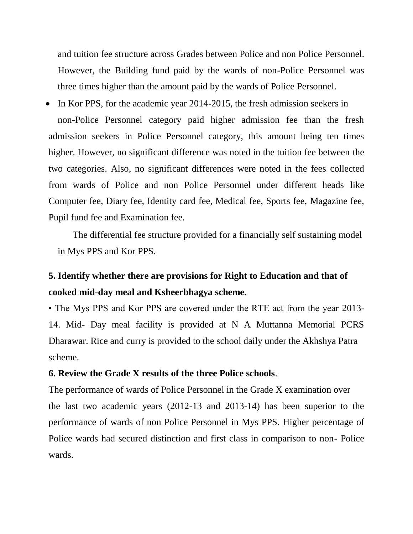and tuition fee structure across Grades between Police and non Police Personnel. However, the Building fund paid by the wards of non-Police Personnel was three times higher than the amount paid by the wards of Police Personnel.

• In Kor PPS, for the academic year 2014-2015, the fresh admission seekers in non-Police Personnel category paid higher admission fee than the fresh admission seekers in Police Personnel category, this amount being ten times higher. However, no significant difference was noted in the tuition fee between the two categories. Also, no significant differences were noted in the fees collected from wards of Police and non Police Personnel under different heads like Computer fee, Diary fee, Identity card fee, Medical fee, Sports fee, Magazine fee, Pupil fund fee and Examination fee.

The differential fee structure provided for a financially self sustaining model in Mys PPS and Kor PPS.

## **5. Identify whether there are provisions for Right to Education and that of cooked mid-day meal and Ksheerbhagya scheme.**

• The Mys PPS and Kor PPS are covered under the RTE act from the year 2013- 14. Mid- Day meal facility is provided at N A Muttanna Memorial PCRS Dharawar. Rice and curry is provided to the school daily under the Akhshya Patra scheme.

### **6. Review the Grade X results of the three Police schools**.

The performance of wards of Police Personnel in the Grade X examination over the last two academic years (2012-13 and 2013-14) has been superior to the performance of wards of non Police Personnel in Mys PPS. Higher percentage of Police wards had secured distinction and first class in comparison to non- Police wards.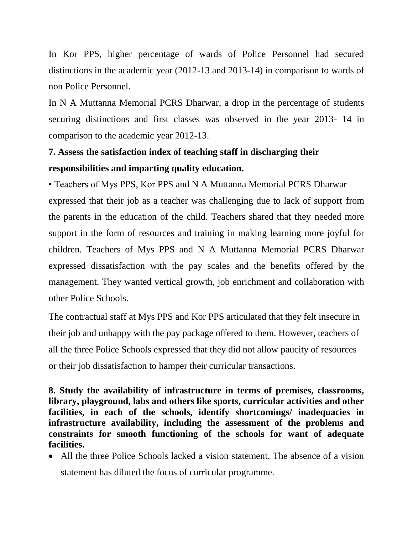In Kor PPS, higher percentage of wards of Police Personnel had secured distinctions in the academic year (2012-13 and 2013-14) in comparison to wards of non Police Personnel.

In N A Muttanna Memorial PCRS Dharwar, a drop in the percentage of students securing distinctions and first classes was observed in the year 2013- 14 in comparison to the academic year 2012-13.

# **7. Assess the satisfaction index of teaching staff in discharging their responsibilities and imparting quality education.**

• Teachers of Mys PPS, Kor PPS and N A Muttanna Memorial PCRS Dharwar expressed that their job as a teacher was challenging due to lack of support from the parents in the education of the child. Teachers shared that they needed more support in the form of resources and training in making learning more joyful for children. Teachers of Mys PPS and N A Muttanna Memorial PCRS Dharwar expressed dissatisfaction with the pay scales and the benefits offered by the management. They wanted vertical growth, job enrichment and collaboration with other Police Schools.

The contractual staff at Mys PPS and Kor PPS articulated that they felt insecure in their job and unhappy with the pay package offered to them. However, teachers of all the three Police Schools expressed that they did not allow paucity of resources or their job dissatisfaction to hamper their curricular transactions.

**8. Study the availability of infrastructure in terms of premises, classrooms, library, playground, labs and others like sports, curricular activities and other facilities, in each of the schools, identify shortcomings/ inadequacies in infrastructure availability, including the assessment of the problems and constraints for smooth functioning of the schools for want of adequate facilities.**

 All the three Police Schools lacked a vision statement. The absence of a vision statement has diluted the focus of curricular programme.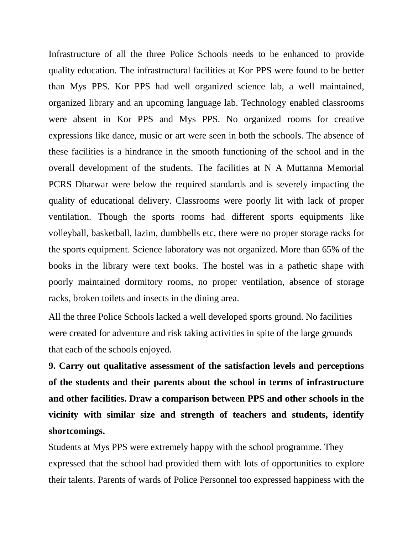Infrastructure of all the three Police Schools needs to be enhanced to provide quality education. The infrastructural facilities at Kor PPS were found to be better than Mys PPS. Kor PPS had well organized science lab, a well maintained, organized library and an upcoming language lab. Technology enabled classrooms were absent in Kor PPS and Mys PPS. No organized rooms for creative expressions like dance, music or art were seen in both the schools. The absence of these facilities is a hindrance in the smooth functioning of the school and in the overall development of the students. The facilities at N A Muttanna Memorial PCRS Dharwar were below the required standards and is severely impacting the quality of educational delivery. Classrooms were poorly lit with lack of proper ventilation. Though the sports rooms had different sports equipments like volleyball, basketball, lazim, dumbbells etc, there were no proper storage racks for the sports equipment. Science laboratory was not organized. More than 65% of the books in the library were text books. The hostel was in a pathetic shape with poorly maintained dormitory rooms, no proper ventilation, absence of storage racks, broken toilets and insects in the dining area.

All the three Police Schools lacked a well developed sports ground. No facilities were created for adventure and risk taking activities in spite of the large grounds that each of the schools enjoyed.

**9. Carry out qualitative assessment of the satisfaction levels and perceptions of the students and their parents about the school in terms of infrastructure and other facilities. Draw a comparison between PPS and other schools in the vicinity with similar size and strength of teachers and students, identify shortcomings.** 

Students at Mys PPS were extremely happy with the school programme. They expressed that the school had provided them with lots of opportunities to explore their talents. Parents of wards of Police Personnel too expressed happiness with the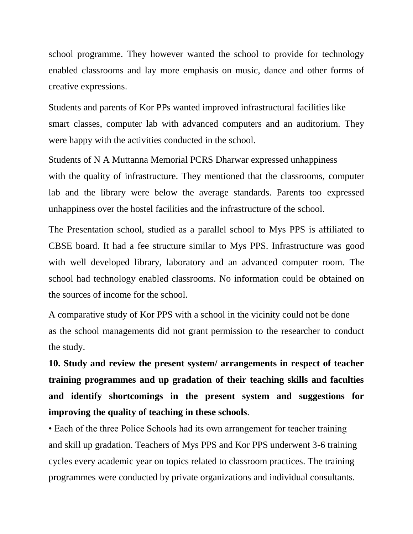school programme. They however wanted the school to provide for technology enabled classrooms and lay more emphasis on music, dance and other forms of creative expressions.

Students and parents of Kor PPs wanted improved infrastructural facilities like smart classes, computer lab with advanced computers and an auditorium. They were happy with the activities conducted in the school.

Students of N A Muttanna Memorial PCRS Dharwar expressed unhappiness with the quality of infrastructure. They mentioned that the classrooms, computer lab and the library were below the average standards. Parents too expressed unhappiness over the hostel facilities and the infrastructure of the school.

The Presentation school, studied as a parallel school to Mys PPS is affiliated to CBSE board. It had a fee structure similar to Mys PPS. Infrastructure was good with well developed library, laboratory and an advanced computer room. The school had technology enabled classrooms. No information could be obtained on the sources of income for the school.

A comparative study of Kor PPS with a school in the vicinity could not be done as the school managements did not grant permission to the researcher to conduct the study.

**10. Study and review the present system/ arrangements in respect of teacher training programmes and up gradation of their teaching skills and faculties and identify shortcomings in the present system and suggestions for improving the quality of teaching in these schools**.

• Each of the three Police Schools had its own arrangement for teacher training and skill up gradation. Teachers of Mys PPS and Kor PPS underwent 3-6 training cycles every academic year on topics related to classroom practices. The training programmes were conducted by private organizations and individual consultants.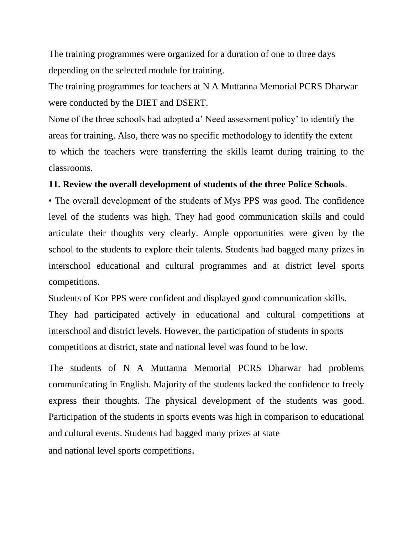The training programmes were organized for a duration of one to three days depending on the selected module for training.

The training programmes for teachers at N A Muttanna Memorial PCRS Dharwar were conducted by the DIET and DSERT.

None of the three schools had adopted a' Need assessment policy' to identify the areas for training. Also, there was no specific methodology to identify the extent to which the teachers were transferring the skills learnt during training to the classrooms.

#### **11. Review the overall development of students of the three Police Schools**.

• The overall development of the students of Mys PPS was good. The confidence level of the students was high. They had good communication skills and could articulate their thoughts very clearly. Ample opportunities were given by the school to the students to explore their talents. Students had bagged many prizes in interschool educational and cultural programmes and at district level sports competitions.

Students of Kor PPS were confident and displayed good communication skills.

They had participated actively in educational and cultural competitions at interschool and district levels. However, the participation of students in sports competitions at district, state and national level was found to be low.

The students of N A Muttanna Memorial PCRS Dharwar had problems communicating in English. Majority of the students lacked the confidence to freely express their thoughts. The physical development of the students was good. Participation of the students in sports events was high in comparison to educational and cultural events. Students had bagged many prizes at state

and national level sports competitions.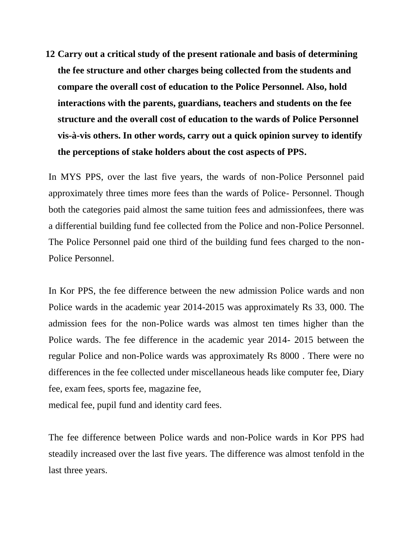**12 Carry out a critical study of the present rationale and basis of determining the fee structure and other charges being collected from the students and compare the overall cost of education to the Police Personnel. Also, hold interactions with the parents, guardians, teachers and students on the fee structure and the overall cost of education to the wards of Police Personnel vis-à-vis others. In other words, carry out a quick opinion survey to identify the perceptions of stake holders about the cost aspects of PPS.**

In MYS PPS, over the last five years, the wards of non-Police Personnel paid approximately three times more fees than the wards of Police- Personnel. Though both the categories paid almost the same tuition fees and admissionfees, there was a differential building fund fee collected from the Police and non-Police Personnel. The Police Personnel paid one third of the building fund fees charged to the non-Police Personnel.

In Kor PPS, the fee difference between the new admission Police wards and non Police wards in the academic year 2014-2015 was approximately Rs 33, 000. The admission fees for the non-Police wards was almost ten times higher than the Police wards. The fee difference in the academic year 2014- 2015 between the regular Police and non-Police wards was approximately Rs 8000 . There were no differences in the fee collected under miscellaneous heads like computer fee, Diary fee, exam fees, sports fee, magazine fee,

medical fee, pupil fund and identity card fees.

The fee difference between Police wards and non-Police wards in Kor PPS had steadily increased over the last five years. The difference was almost tenfold in the last three years.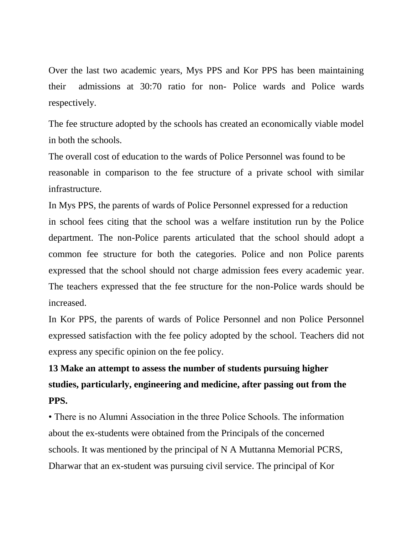Over the last two academic years, Mys PPS and Kor PPS has been maintaining their admissions at 30:70 ratio for non- Police wards and Police wards respectively.

The fee structure adopted by the schools has created an economically viable model in both the schools.

The overall cost of education to the wards of Police Personnel was found to be reasonable in comparison to the fee structure of a private school with similar infrastructure.

In Mys PPS, the parents of wards of Police Personnel expressed for a reduction in school fees citing that the school was a welfare institution run by the Police department. The non-Police parents articulated that the school should adopt a common fee structure for both the categories. Police and non Police parents expressed that the school should not charge admission fees every academic year. The teachers expressed that the fee structure for the non-Police wards should be increased.

In Kor PPS, the parents of wards of Police Personnel and non Police Personnel expressed satisfaction with the fee policy adopted by the school. Teachers did not express any specific opinion on the fee policy.

# **13 Make an attempt to assess the number of students pursuing higher studies, particularly, engineering and medicine, after passing out from the PPS.**

• There is no Alumni Association in the three Police Schools. The information about the ex-students were obtained from the Principals of the concerned schools. It was mentioned by the principal of N A Muttanna Memorial PCRS, Dharwar that an ex-student was pursuing civil service. The principal of Kor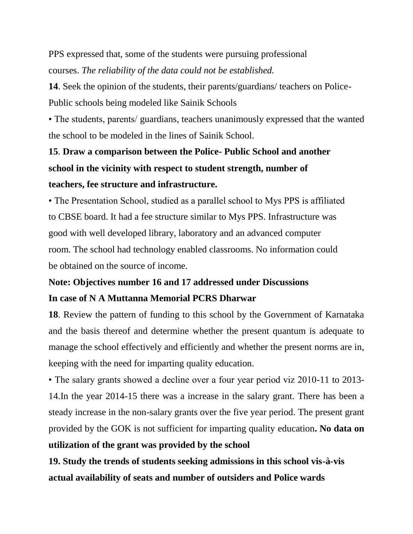PPS expressed that, some of the students were pursuing professional courses. *The reliability of the data could not be established.*

**14**. Seek the opinion of the students, their parents/guardians/ teachers on Police-Public schools being modeled like Sainik Schools

• The students, parents/ guardians, teachers unanimously expressed that the wanted the school to be modeled in the lines of Sainik School.

# **15**. **Draw a comparison between the Police- Public School and another school in the vicinity with respect to student strength, number of teachers, fee structure and infrastructure.**

• The Presentation School, studied as a parallel school to Mys PPS is affiliated to CBSE board. It had a fee structure similar to Mys PPS. Infrastructure was good with well developed library, laboratory and an advanced computer room. The school had technology enabled classrooms. No information could be obtained on the source of income.

# **Note: Objectives number 16 and 17 addressed under Discussions In case of N A Muttanna Memorial PCRS Dharwar**

**18**. Review the pattern of funding to this school by the Government of Karnataka and the basis thereof and determine whether the present quantum is adequate to manage the school effectively and efficiently and whether the present norms are in, keeping with the need for imparting quality education.

• The salary grants showed a decline over a four year period viz 2010-11 to 2013- 14.In the year 2014-15 there was a increase in the salary grant. There has been a steady increase in the non-salary grants over the five year period. The present grant provided by the GOK is not sufficient for imparting quality education**. No data on utilization of the grant was provided by the school**

**19. Study the trends of students seeking admissions in this school vis-à-vis actual availability of seats and number of outsiders and Police wards**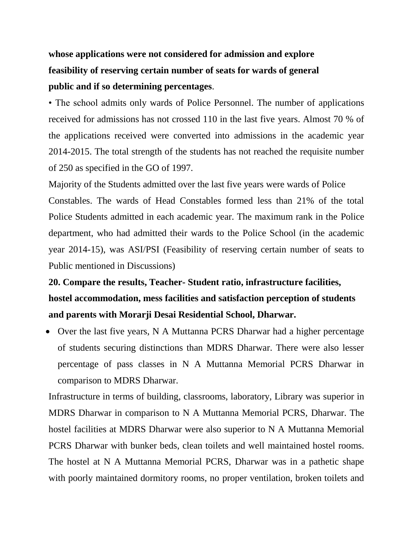# **whose applications were not considered for admission and explore feasibility of reserving certain number of seats for wards of general public and if so determining percentages**.

• The school admits only wards of Police Personnel. The number of applications received for admissions has not crossed 110 in the last five years. Almost 70 % of the applications received were converted into admissions in the academic year 2014-2015. The total strength of the students has not reached the requisite number of 250 as specified in the GO of 1997.

Majority of the Students admitted over the last five years were wards of Police Constables. The wards of Head Constables formed less than 21% of the total Police Students admitted in each academic year. The maximum rank in the Police department, who had admitted their wards to the Police School (in the academic year 2014-15), was ASI/PSI (Feasibility of reserving certain number of seats to Public mentioned in Discussions)

# **20. Compare the results, Teacher- Student ratio, infrastructure facilities, hostel accommodation, mess facilities and satisfaction perception of students and parents with Morarji Desai Residential School, Dharwar.**

• Over the last five years, N A Muttanna PCRS Dharwar had a higher percentage of students securing distinctions than MDRS Dharwar. There were also lesser percentage of pass classes in N A Muttanna Memorial PCRS Dharwar in comparison to MDRS Dharwar.

Infrastructure in terms of building, classrooms, laboratory, Library was superior in MDRS Dharwar in comparison to N A Muttanna Memorial PCRS, Dharwar. The hostel facilities at MDRS Dharwar were also superior to N A Muttanna Memorial PCRS Dharwar with bunker beds, clean toilets and well maintained hostel rooms. The hostel at N A Muttanna Memorial PCRS, Dharwar was in a pathetic shape with poorly maintained dormitory rooms, no proper ventilation, broken toilets and